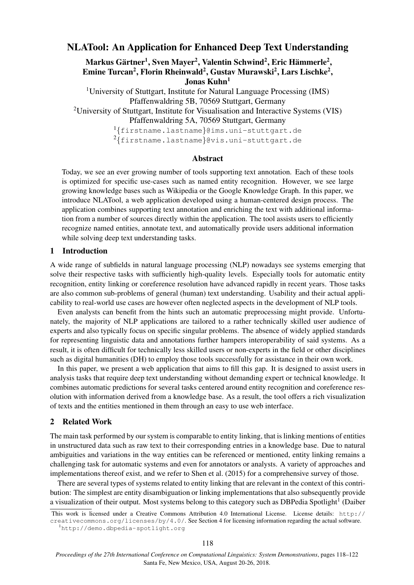# NLATool: An Application for Enhanced Deep Text Understanding

Markus Gärtner<sup>1</sup>, Sven Mayer<sup>2</sup>, Valentin Schwind<sup>2</sup>, Eric Hämmerle<sup>2</sup>, Emine Turcan<sup>2</sup>, Florin Rheinwald<sup>2</sup>, Gustav Murawski<sup>2</sup>, Lars Lischke<sup>2</sup>, Jonas  $Kuhn<sup>1</sup>$ 

<sup>1</sup>University of Stuttgart, Institute for Natural Language Processing (IMS) Pfaffenwaldring 5B, 70569 Stuttgart, Germany <sup>2</sup>University of Stuttgart, Institute for Visualisation and Interactive Systems (VIS) Pfaffenwaldring 5A, 70569 Stuttgart, Germany

1 {firstname.lastname}@ims.uni-stuttgart.de  $^{2}$ {firstname.lastname}@vis.uni-stuttgart.de

### Abstract

Today, we see an ever growing number of tools supporting text annotation. Each of these tools is optimized for specific use-cases such as named entity recognition. However, we see large growing knowledge bases such as Wikipedia or the Google Knowledge Graph. In this paper, we introduce NLATool, a web application developed using a human-centered design process. The application combines supporting text annotation and enriching the text with additional information from a number of sources directly within the application. The tool assists users to efficiently recognize named entities, annotate text, and automatically provide users additional information while solving deep text understanding tasks.

#### 1 Introduction

A wide range of subfields in natural language processing (NLP) nowadays see systems emerging that solve their respective tasks with sufficiently high-quality levels. Especially tools for automatic entity recognition, entity linking or coreference resolution have advanced rapidly in recent years. Those tasks are also common sub-problems of general (human) text understanding. Usability and their actual applicability to real-world use cases are however often neglected aspects in the development of NLP tools.

Even analysts can benefit from the hints such an automatic preprocessing might provide. Unfortunately, the majority of NLP applications are tailored to a rather technically skilled user audience of experts and also typically focus on specific singular problems. The absence of widely applied standards for representing linguistic data and annotations further hampers interoperability of said systems. As a result, it is often difficult for technically less skilled users or non-experts in the field or other disciplines such as digital humanities (DH) to employ those tools successfully for assistance in their own work.

In this paper, we present a web application that aims to fill this gap. It is designed to assist users in analysis tasks that require deep text understanding without demanding expert or technical knowledge. It combines automatic predictions for several tasks centered around entity recognition and coreference resolution with information derived from a knowledge base. As a result, the tool offers a rich visualization of texts and the entities mentioned in them through an easy to use web interface.

#### 2 Related Work

The main task performed by our system is comparable to entity linking, that is linking mentions of entities in unstructured data such as raw text to their corresponding entries in a knowledge base. Due to natural ambiguities and variations in the way entities can be referenced or mentioned, entity linking remains a challenging task for automatic systems and even for annotators or analysts. A variety of approaches and implementations thereof exist, and we refer to Shen et al. (2015) for a comprehensive survey of those.

There are several types of systems related to entity linking that are relevant in the context of this contribution: The simplest are entity disambiguation or linking implementations that also subsequently provide a visualization of their output. Most systems belong to this category such as DBPedia Spotlight<sup>1</sup> (Daiber

This work is licensed under a Creative Commons Attribution 4.0 International License. License details: http:// creativecommons.org/licenses/by/4.0/. See Section 4 for licensing information regarding the actual software.

<sup>1</sup>http://demo.dbpedia-spotlight.org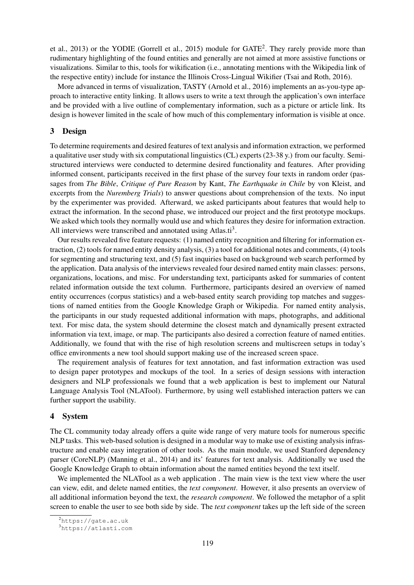et al., 2013) or the YODIE (Gorrell et al., 2015) module for GATE<sup>2</sup>. They rarely provide more than rudimentary highlighting of the found entities and generally are not aimed at more assistive functions or visualizations. Similar to this, tools for wikification (i.e., annotating mentions with the Wikipedia link of the respective entity) include for instance the Illinois Cross-Lingual Wikifier (Tsai and Roth, 2016).

More advanced in terms of visualization, TASTY (Arnold et al., 2016) implements an as-you-type approach to interactive entity linking. It allows users to write a text through the application's own interface and be provided with a live outline of complementary information, such as a picture or article link. Its design is however limited in the scale of how much of this complementary information is visible at once.

### 3 Design

To determine requirements and desired features of text analysis and information extraction, we performed a qualitative user study with six computational linguistics (CL) experts (23-38 y.) from our faculty. Semistructured interviews were conducted to determine desired functionality and features. After providing informed consent, participants received in the first phase of the survey four texts in random order (passages from *The Bible*, *Critique of Pure Reason* by Kant, *The Earthquake in Chile* by von Kleist, and excerpts from the *Nuremberg Trials*) to answer questions about comprehension of the texts. No input by the experimenter was provided. Afterward, we asked participants about features that would help to extract the information. In the second phase, we introduced our project and the first prototype mockups. We asked which tools they normally would use and which features they desire for information extraction. All interviews were transcribed and annotated using Atlas.ti<sup>3</sup>.

Our results revealed five feature requests: (1) named entity recognition and filtering for information extraction, (2) tools for named entity density analysis, (3) a tool for additional notes and comments, (4) tools for segmenting and structuring text, and (5) fast inquiries based on background web search performed by the application. Data analysis of the interviews revealed four desired named entity main classes: persons, organizations, locations, and misc. For understanding text, participants asked for summaries of content related information outside the text column. Furthermore, participants desired an overview of named entity occurrences (corpus statistics) and a web-based entity search providing top matches and suggestions of named entities from the Google Knowledge Graph or Wikipedia. For named entity analysis, the participants in our study requested additional information with maps, photographs, and additional text. For misc data, the system should determine the closest match and dynamically present extracted information via text, image, or map. The participants also desired a correction feature of named entities. Additionally, we found that with the rise of high resolution screens and multiscreen setups in today's office environments a new tool should support making use of the increased screen space.

The requirement analysis of features for text annotation, and fast information extraction was used to design paper prototypes and mockups of the tool. In a series of design sessions with interaction designers and NLP professionals we found that a web application is best to implement our Natural Language Analysis Tool (NLATool). Furthermore, by using well established interaction patters we can further support the usability.

#### 4 System

The CL community today already offers a quite wide range of very mature tools for numerous specific NLP tasks. This web-based solution is designed in a modular way to make use of existing analysis infrastructure and enable easy integration of other tools. As the main module, we used Stanford dependency parser (CoreNLP) (Manning et al., 2014) and its' features for text analysis. Additionally we used the Google Knowledge Graph to obtain information about the named entities beyond the text itself.

We implemented the NLATool as a web application . The main view is the text view where the user can view, edit, and delete named entities, the *text component*. However, it also presents an overview of all additional information beyond the text, the *research component*. We followed the metaphor of a split screen to enable the user to see both side by side. The *text component* takes up the left side of the screen

<sup>2</sup>https://gate.ac.uk

<sup>3</sup>https://atlasti.com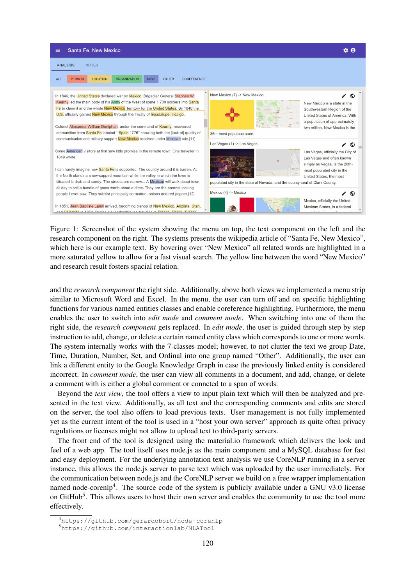

Figure 1: Screenshot of the system showing the menu on top, the text component on the left and the research component on the right. The systems presents the wikipedia article of "Santa Fe, New Mexico", which here is our example text. By hovering over "New Mexico" all related words are highlighted in a more saturated yellow to allow for a fast visual search. The yellow line between the word "New Mexico" and research result fosters spacial relation.

and the *research component* the right side. Additionally, above both views we implemented a menu strip similar to Microsoft Word and Excel. In the menu, the user can turn off and on specific highlighting functions for various named entities classes and enable coreference highlighting. Furthermore, the menu enables the user to switch into *edit mode* and *comment mode*. When switching into one of them the right side, the *research component* gets replaced. In *edit mode*, the user is guided through step by step instruction to add, change, or delete a certain named entity class which corresponds to one or more words. The system internally works with the 7-classes model; however, to not clutter the text we group Date, Time, Duration, Number, Set, and Ordinal into one group named "Other". Additionally, the user can link a different entity to the Google Knowledge Graph in case the previously linked entity is considered incorrect. In *comment mode*, the user can view all comments in a document, and add, change, or delete a comment with is either a global comment or conncted to a span of words.

Beyond the *text view*, the tool offers a view to input plain text which will then be analyzed and presented in the text view. Additionally, as all text and the corresponding comments and edits are stored on the server, the tool also offers to load previous texts. User management is not fully implemented yet as the current intent of the tool is used in a "host your own server" approach as quite often privacy regulations or licenses might not allow to upload text to third-party servers.

The front end of the tool is designed using the material.io framework which delivers the look and feel of a web app. The tool itself uses node.js as the main component and a MySQL database for fast and easy deployment. For the underlying annotation text analysis we use CoreNLP running in a server instance, this allows the node.js server to parse text which was uploaded by the user immediately. For the communication between node.js and the CoreNLP server we build on a free wrapper implementation named node-corenlp<sup>4</sup>. The source code of the system is publicly available under a GNU v3.0 license on GitHub<sup>5</sup>. This allows users to host their own server and enables the community to use the tool more effectively.

<sup>4</sup>https://github.com/gerardobort/node-corenlp

<sup>5</sup>https://github.com/interactionlab/NLATool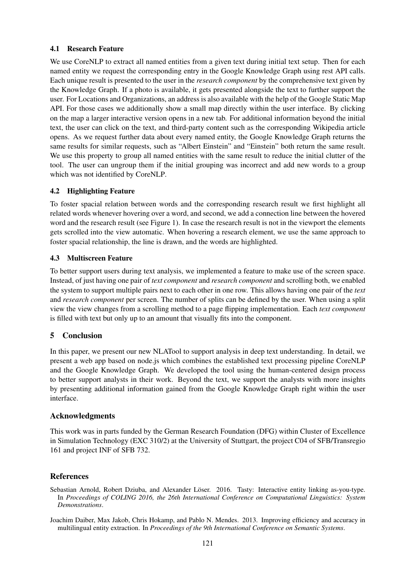# 4.1 Research Feature

We use CoreNLP to extract all named entities from a given text during initial text setup. Then for each named entity we request the corresponding entry in the Google Knowledge Graph using rest API calls. Each unique result is presented to the user in the *research component* by the comprehensive text given by the Knowledge Graph. If a photo is available, it gets presented alongside the text to further support the user. For Locations and Organizations, an address is also available with the help of the Google Static Map API. For those cases we additionally show a small map directly within the user interface. By clicking on the map a larger interactive version opens in a new tab. For additional information beyond the initial text, the user can click on the text, and third-party content such as the corresponding Wikipedia article opens. As we request further data about every named entity, the Google Knowledge Graph returns the same results for similar requests, such as "Albert Einstein" and "Einstein" both return the same result. We use this property to group all named entities with the same result to reduce the initial clutter of the tool. The user can ungroup them if the initial grouping was incorrect and add new words to a group which was not identified by CoreNLP.

# 4.2 Highlighting Feature

To foster spacial relation between words and the corresponding research result we first highlight all related words whenever hovering over a word, and second, we add a connection line between the hovered word and the research result (see Figure 1). In case the research result is not in the viewport the elements gets scrolled into the view automatic. When hovering a research element, we use the same approach to foster spacial relationship, the line is drawn, and the words are highlighted.

# 4.3 Multiscreen Feature

To better support users during text analysis, we implemented a feature to make use of the screen space. Instead, of just having one pair of *text component* and *research component* and scrolling both, we enabled the system to support multiple pairs next to each other in one row. This allows having one pair of the *text* and *research component* per screen. The number of splits can be defined by the user. When using a split view the view changes from a scrolling method to a page flipping implementation. Each *text component* is filled with text but only up to an amount that visually fits into the component.

# 5 Conclusion

In this paper, we present our new NLATool to support analysis in deep text understanding. In detail, we present a web app based on node.js which combines the established text processing pipeline CoreNLP and the Google Knowledge Graph. We developed the tool using the human-centered design process to better support analysts in their work. Beyond the text, we support the analysts with more insights by presenting additional information gained from the Google Knowledge Graph right within the user interface.

### Acknowledgments

This work was in parts funded by the German Research Foundation (DFG) within Cluster of Excellence in Simulation Technology (EXC 310/2) at the University of Stuttgart, the project C04 of SFB/Transregio 161 and project INF of SFB 732.

### References

Sebastian Arnold, Robert Dziuba, and Alexander Löser. 2016. Tasty: Interactive entity linking as-you-type. In *Proceedings of COLING 2016, the 26th International Conference on Computational Linguistics: System Demonstrations*.

Joachim Daiber, Max Jakob, Chris Hokamp, and Pablo N. Mendes. 2013. Improving efficiency and accuracy in multilingual entity extraction. In *Proceedings of the 9th International Conference on Semantic Systems*.